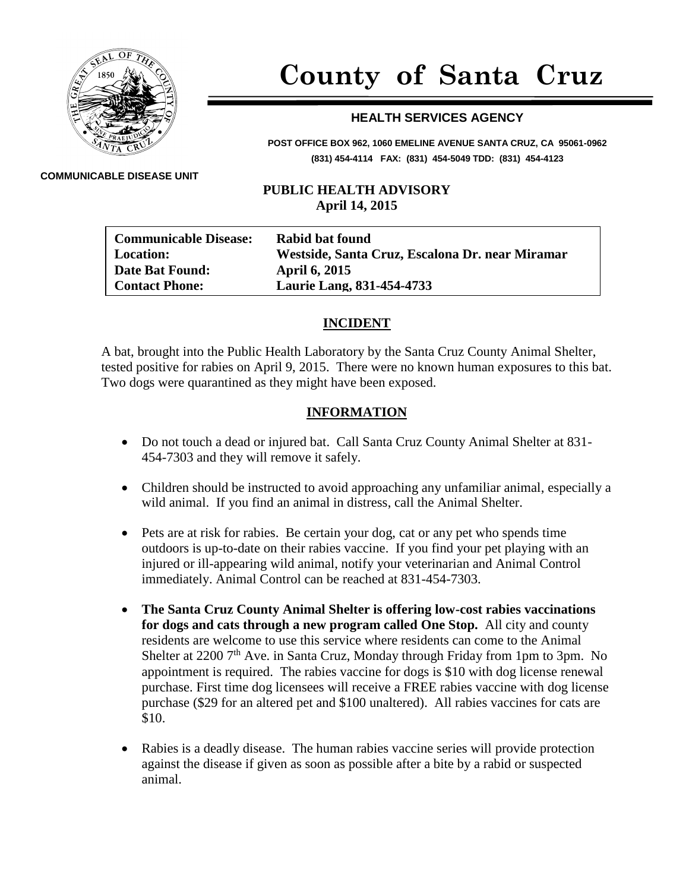

# **County of Santa Cruz**

## **HEALTH SERVICES AGENCY**

**POST OFFICE BOX 962, 1060 EMELINE AVENUE SANTA CRUZ, CA 95061-0962 (831) 454-4114 FAX: (831) 454-5049 TDD: (831) 454-4123**

#### **COMMUNICABLE DISEASE UNIT**

### **PUBLIC HEALTH ADVISORY April 14, 2015**

| <b>Communicable Disease:</b><br><b>Location:</b> | Rabid bat found<br>Westside, Santa Cruz, Escalona Dr. near Miramar |
|--------------------------------------------------|--------------------------------------------------------------------|
| <b>Date Bat Found:</b>                           | <b>April 6, 2015</b>                                               |
| <b>Contact Phone:</b>                            | <b>Laurie Lang, 831-454-4733</b>                                   |

### **INCIDENT**

A bat, brought into the Public Health Laboratory by the Santa Cruz County Animal Shelter, tested positive for rabies on April 9, 2015. There were no known human exposures to this bat. Two dogs were quarantined as they might have been exposed.

### **INFORMATION**

- Do not touch a dead or injured bat. Call Santa Cruz County Animal Shelter at 831- 454-7303 and they will remove it safely.
- Children should be instructed to avoid approaching any unfamiliar animal, especially a wild animal. If you find an animal in distress, call the Animal Shelter.
- Pets are at risk for rabies. Be certain your dog, cat or any pet who spends time outdoors is up-to-date on their rabies vaccine. If you find your pet playing with an injured or ill-appearing wild animal, notify your veterinarian and Animal Control immediately. Animal Control can be reached at 831-454-7303.
- **The Santa Cruz County Animal Shelter is offering low-cost rabies vaccinations for dogs and cats through a new program called One Stop.** All city and county residents are welcome to use this service where residents can come to the Animal Shelter at 2200  $7<sup>th</sup>$  Ave. in Santa Cruz, Monday through Friday from 1pm to 3pm. No appointment is required. The rabies vaccine for dogs is \$10 with dog license renewal purchase. First time dog licensees will receive a FREE rabies vaccine with dog license purchase (\$29 for an altered pet and \$100 unaltered). All rabies vaccines for cats are \$10.
- Rabies is a deadly disease. The human rabies vaccine series will provide protection against the disease if given as soon as possible after a bite by a rabid or suspected animal.